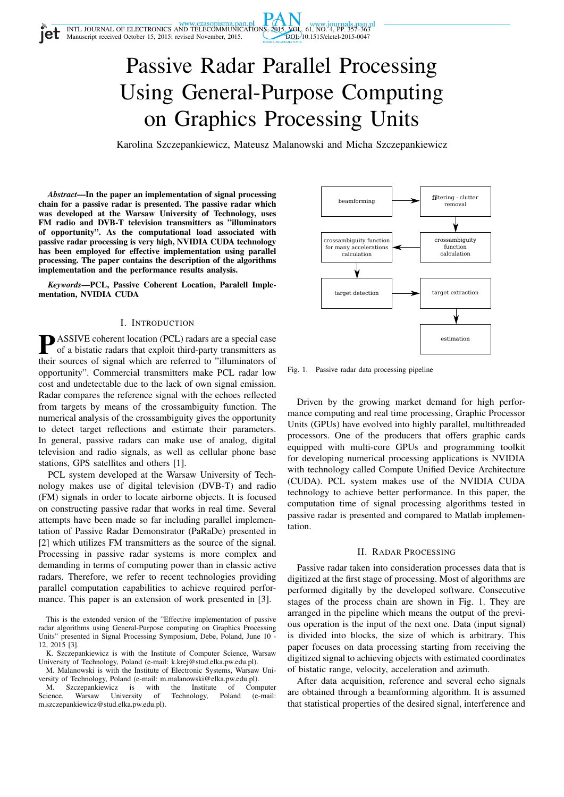

# Passive Radar Parallel Processing Using General-Purpose Computing on Graphics Processing Units

Karolina Szczepankiewicz, Mateusz Malanowski and Micha Szczepankiewicz

*Abstract*—In the paper an implementation of signal processing chain for a passive radar is presented. The passive radar which was developed at the Warsaw University of Technology, uses FM radio and DVB-T television transmitters as "illuminators of opportunity". As the computational load associated with passive radar processing is very high, NVIDIA CUDA technology has been employed for effective implementation using parallel processing. The paper contains the description of the algorithms implementation and the performance results analysis.

*Keywords*—PCL, Passive Coherent Location, Paralell Implementation, NVIDIA CUDA

## I. INTRODUCTION

**P**ASSIVE coherent location (PCL) radars are a special case<br>of a bistatic radars that exploit third-party transmitters as of a bistatic radars that exploit third-party transmitters as their sources of signal which are referred to "illuminators of opportunity". Commercial transmitters make PCL radar low cost and undetectable due to the lack of own signal emission. Radar compares the reference signal with the echoes reflected from targets by means of the crossambiguity function. The numerical analysis of the crossambiguity gives the opportunity to detect target reflections and estimate their parameters. In general, passive radars can make use of analog, digital television and radio signals, as well as cellular phone base stations, GPS satellites and others [1].

PCL system developed at the Warsaw University of Technology makes use of digital television (DVB-T) and radio (FM) signals in order to locate airborne objects. It is focused on constructing passive radar that works in real time. Several attempts have been made so far including parallel implementation of Passive Radar Demonstrator (PaRaDe) presented in [2] which utilizes FM transmitters as the source of the signal. Processing in passive radar systems is more complex and demanding in terms of computing power than in classic active radars. Therefore, we refer to recent technologies providing parallel computation capabilities to achieve required performance. This paper is an extension of work presented in [3].

This is the extended version of the "Effective implementation of passive radar algorithms using General-Purpose computing on Graphics Processing Units" presented in Signal Processing Symposium, Debe, Poland, June 10 - 12, 2015 [3].

K. Szczepankiewicz is with the Institute of Computer Science, Warsaw University of Technology, Poland (e-mail: k.krej@stud.elka.pw.edu.pl).

M. Malanowski is with the Institute of Electronic Systems, Warsaw University of Technology, Poland (e-mail: m.malanowski@elka.pw.edu.pl).

M. Szczepankiewicz is with the Institute of Computer<br>cience, Warsaw University of Technology, Poland (e-mail: Science, Warsaw University of Technology, Poland m.szczepankiewicz@stud.elka.pw.edu.pl).



Fig. 1. Passive radar data processing pipeline

Driven by the growing market demand for high performance computing and real time processing, Graphic Processor Units (GPUs) have evolved into highly parallel, multithreaded processors. One of the producers that offers graphic cards equipped with multi-core GPUs and programming toolkit for developing numerical processing applications is NVIDIA with technology called Compute Unified Device Architecture (CUDA). PCL system makes use of the NVIDIA CUDA technology to achieve better performance. In this paper, the computation time of signal processing algorithms tested in passive radar is presented and compared to Matlab implementation.

## II. RADAR PROCESSING

Passive radar taken into consideration processes data that is digitized at the first stage of processing. Most of algorithms are performed digitally by the developed software. Consecutive stages of the process chain are shown in Fig. 1. They are arranged in the pipeline which means the output of the previous operation is the input of the next one. Data (input signal) is divided into blocks, the size of which is arbitrary. This paper focuses on data processing starting from receiving the digitized signal to achieving objects with estimated coordinates of bistatic range, velocity, acceleration and azimuth.

After data acquisition, reference and several echo signals are obtained through a beamforming algorithm. It is assumed that statistical properties of the desired signal, interference and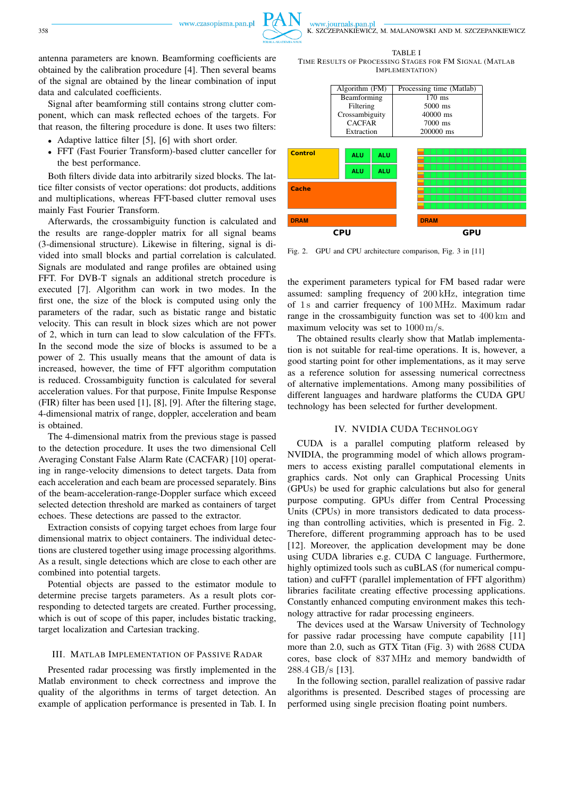

www.journals.pan.pl

antenna parameters are known. Beamforming coefficients are obtained by the calibration procedure [4]. Then several beams of the signal are obtained by the linear combination of input data and calculated coefficients.

Signal after beamforming still contains strong clutter component, which can mask reflected echoes of the targets. For that reason, the filtering procedure is done. It uses two filters:

- Adaptive lattice filter [5], [6] with short order.
- FFT (Fast Fourier Transform)-based clutter canceller for the best performance.

Both filters divide data into arbitrarily sized blocks. The lattice filter consists of vector operations: dot products, additions and multiplications, whereas FFT-based clutter removal uses mainly Fast Fourier Transform.

Afterwards, the crossambiguity function is calculated and the results are range-doppler matrix for all signal beams (3-dimensional structure). Likewise in filtering, signal is divided into small blocks and partial correlation is calculated. Signals are modulated and range profiles are obtained using FFT. For DVB-T signals an additional stretch procedure is executed [7]. Algorithm can work in two modes. In the first one, the size of the block is computed using only the parameters of the radar, such as bistatic range and bistatic velocity. This can result in block sizes which are not power of 2, which in turn can lead to slow calculation of the FFTs. In the second mode the size of blocks is assumed to be a power of 2. This usually means that the amount of data is increased, however, the time of FFT algorithm computation is reduced. Crossambiguity function is calculated for several acceleration values. For that purpose, Finite Impulse Response (FIR) filter has been used [1], [8], [9]. After the filtering stage, 4-dimensional matrix of range, doppler, acceleration and beam is obtained.

The 4-dimensional matrix from the previous stage is passed to the detection procedure. It uses the two dimensional Cell Averaging Constant False Alarm Rate (CACFAR) [10] operating in range-velocity dimensions to detect targets. Data from each acceleration and each beam are processed separately. Bins of the beam-acceleration-range-Doppler surface which exceed selected detection threshold are marked as containers of target echoes. These detections are passed to the extractor.

Extraction consists of copying target echoes from large four dimensional matrix to object containers. The individual detections are clustered together using image processing algorithms. As a result, single detections which are close to each other are combined into potential targets.

Potential objects are passed to the estimator module to determine precise targets parameters. As a result plots corresponding to detected targets are created. Further processing, which is out of scope of this paper, includes bistatic tracking, target localization and Cartesian tracking.

## III. MATLAB IMPLEMENTATION OF PASSIVE RADAR

Presented radar processing was firstly implemented in the Matlab environment to check correctness and improve the quality of the algorithms in terms of target detection. An example of application performance is presented in Tab. I. In

TABLE I TIME RESULTS OF PROCESSING STAGES FOR FM SIGNAL (MATLAB IMPLEMENTATION)



Fig. 2. GPU and CPU architecture comparison, Fig. 3 in [11]

the experiment parameters typical for FM based radar were assumed: sampling frequency of 200 kHz, integration time of 1 s and carrier frequency of 100 MHz. Maximum radar range in the crossambiguity function was set to 400 km and maximum velocity was set to 1000 m/s.

The obtained results clearly show that Matlab implementation is not suitable for real-time operations. It is, however, a good starting point for other implementations, as it may serve as a reference solution for assessing numerical correctness of alternative implementations. Among many possibilities of different languages and hardware platforms the CUDA GPU technology has been selected for further development.

## IV. NVIDIA CUDA TECHNOLOGY

CUDA is a parallel computing platform released by NVIDIA, the programming model of which allows programmers to access existing parallel computational elements in graphics cards. Not only can Graphical Processing Units (GPUs) be used for graphic calculations but also for general purpose computing. GPUs differ from Central Processing Units (CPUs) in more transistors dedicated to data processing than controlling activities, which is presented in Fig. 2. Therefore, different programming approach has to be used [12]. Moreover, the application development may be done using CUDA libraries e.g. CUDA C language. Furthermore, highly optimized tools such as cuBLAS (for numerical computation) and cuFFT (parallel implementation of FFT algorithm) libraries facilitate creating effective processing applications. Constantly enhanced computing environment makes this technology attractive for radar processing engineers.

The devices used at the Warsaw University of Technology for passive radar processing have compute capability [11] more than 2.0, such as GTX Titan (Fig. 3) with 2688 CUDA cores, base clock of 837 MHz and memory bandwidth of 288.4 GB/s [13].

In the following section, parallel realization of passive radar algorithms is presented. Described stages of processing are performed using single precision floating point numbers.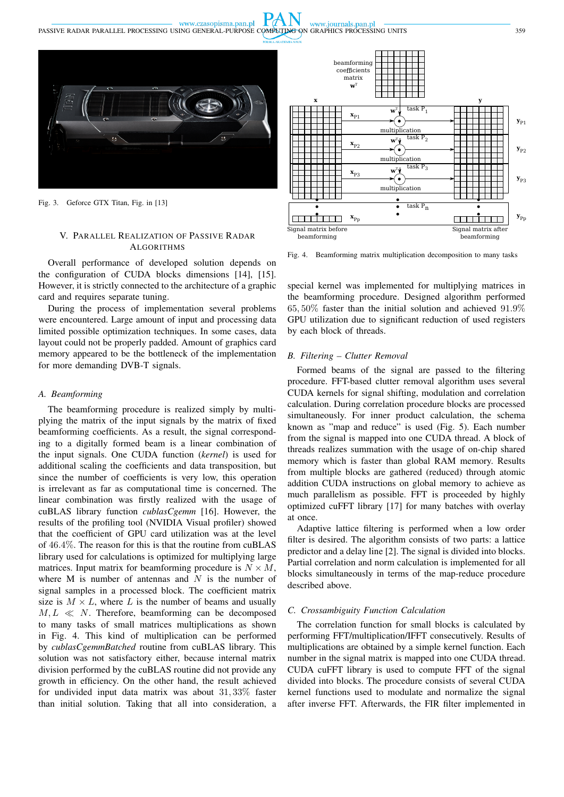

 $PA$ 

www.journals.pan.pl

www.czasopisma.pan.pl

Fig. 3. Geforce GTX Titan, Fig. in [13]

# V. PARALLEL REALIZATION OF PASSIVE RADAR **ALGORITHMS**

Overall performance of developed solution depends on the configuration of CUDA blocks dimensions [14], [15]. However, it is strictly connected to the architecture of a graphic card and requires separate tuning.

During the process of implementation several problems were encountered. Large amount of input and processing data limited possible optimization techniques. In some cases, data layout could not be properly padded. Amount of graphics card memory appeared to be the bottleneck of the implementation for more demanding DVB-T signals.

#### *A. Beamforming*

The beamforming procedure is realized simply by multiplying the matrix of the input signals by the matrix of fixed beamforming coefficients. As a result, the signal corresponding to a digitally formed beam is a linear combination of the input signals. One CUDA function (*kernel*) is used for additional scaling the coefficients and data transposition, but since the number of coefficients is very low, this operation is irrelevant as far as computational time is concerned. The linear combination was firstly realized with the usage of cuBLAS library function *cublasCgemm* [16]. However, the results of the profiling tool (NVIDIA Visual profiler) showed that the coefficient of GPU card utilization was at the level of 46.4%. The reason for this is that the routine from cuBLAS library used for calculations is optimized for multiplying large matrices. Input matrix for beamforming procedure is  $N \times M$ , where M is number of antennas and  $N$  is the number of signal samples in a processed block. The coefficient matrix size is  $M \times L$ , where L is the number of beams and usually  $M, L \ll N$ . Therefore, beamforming can be decomposed to many tasks of small matrices multiplications as shown in Fig. 4. This kind of multiplication can be performed by *cublasCgemmBatched* routine from cuBLAS library. This solution was not satisfactory either, because internal matrix division performed by the cuBLAS routine did not provide any growth in efficiency. On the other hand, the result achieved for undivided input data matrix was about 31, 33% faster than initial solution. Taking that all into consideration, a



Fig. 4. Beamforming matrix multiplication decomposition to many tasks

special kernel was implemented for multiplying matrices in the beamforming procedure. Designed algorithm performed 65, 50% faster than the initial solution and achieved 91.9% GPU utilization due to significant reduction of used registers by each block of threads.

## *B. Filtering – Clutter Removal*

Formed beams of the signal are passed to the filtering procedure. FFT-based clutter removal algorithm uses several CUDA kernels for signal shifting, modulation and correlation calculation. During correlation procedure blocks are processed simultaneously. For inner product calculation, the schema known as "map and reduce" is used (Fig. 5). Each number from the signal is mapped into one CUDA thread. A block of threads realizes summation with the usage of on-chip shared memory which is faster than global RAM memory. Results from multiple blocks are gathered (reduced) through atomic addition CUDA instructions on global memory to achieve as much parallelism as possible. FFT is proceeded by highly optimized cuFFT library [17] for many batches with overlay at once.

Adaptive lattice filtering is performed when a low order filter is desired. The algorithm consists of two parts: a lattice predictor and a delay line [2]. The signal is divided into blocks. Partial correlation and norm calculation is implemented for all blocks simultaneously in terms of the map-reduce procedure described above.

## *C. Crossambiguity Function Calculation*

The correlation function for small blocks is calculated by performing FFT/multiplication/IFFT consecutively. Results of multiplications are obtained by a simple kernel function. Each number in the signal matrix is mapped into one CUDA thread. CUDA cuFFT library is used to compute FFT of the signal divided into blocks. The procedure consists of several CUDA kernel functions used to modulate and normalize the signal after inverse FFT. Afterwards, the FIR filter implemented in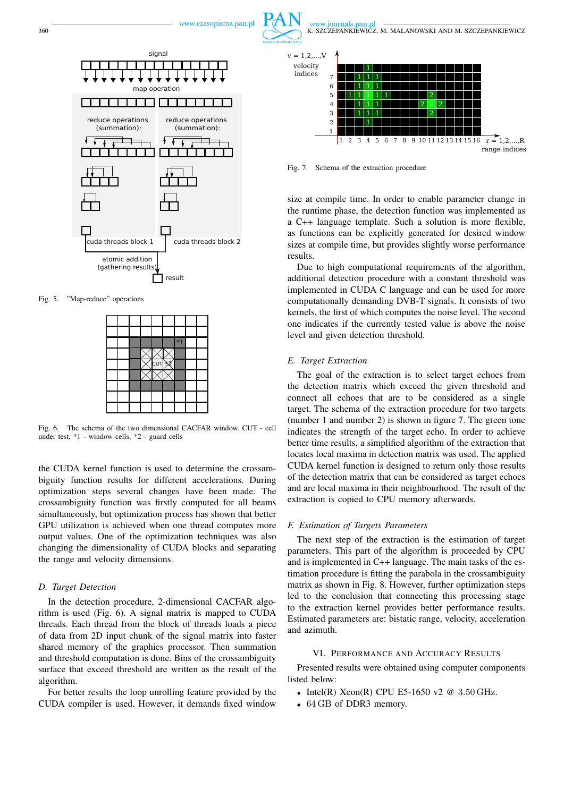



Fig. 5. "Map-reduce" operations

|  |  |   | *. |  |
|--|--|---|----|--|
|  |  |   |    |  |
|  |  | Γ |    |  |
|  |  |   |    |  |
|  |  |   |    |  |
|  |  |   |    |  |
|  |  |   |    |  |

Fig. 6. The schema of the two dimensional CACFAR window. CUT - cell under test, \*1 - window cells, \*2 - guard cells

the CUDA kernel function is used to determine the crossambiguity function results for different accelerations. During optimization steps several changes have been made. The crossambiguity function was firstly computed for all beams simultaneously, but optimization process has shown that better GPU utilization is achieved when one thread computes more output values. One of the optimization techniques was also changing the dimensionality of CUDA blocks and separating the range and velocity dimensions.

# *D. Target Detection*

In the detection procedure, 2-dimensional CACFAR algorithm is used (Fig. 6). A signal matrix is mapped to CUDA threads. Each thread from the block of threads loads a piece of data from 2D input chunk of the signal matrix into faster shared memory of the graphics processor. Then summation and threshold computation is done. Bins of the crossambiguity surface that exceed threshold are written as the result of the algorithm.

For better results the loop unrolling feature provided by the CUDA compiler is used. However, it demands fixed window



Fig. 7. Schema of the extraction procedure

size at compile time. In order to enable parameter change in the runtime phase, the detection function was implemented as a C++ language template. Such a solution is more flexible, as functions can be explicitly generated for desired window sizes at compile time, but provides slightly worse performance results.

Due to high computational requirements of the algorithm, additional detection procedure with a constant threshold was implemented in CUDA C language and can be used for more computationally demanding DVB-T signals. It consists of two kernels, the first of which computes the noise level. The second one indicates if the currently tested value is above the noise level and given detection threshold.

## *E. Target Extraction*

The goal of the extraction is to select target echoes from the detection matrix which exceed the given threshold and connect all echoes that are to be considered as a single target. The schema of the extraction procedure for two targets (number 1 and number 2) is shown in figure 7. The green tone indicates the strength of the target echo. In order to achieve better time results, a simplified algorithm of the extraction that locates local maxima in detection matrix was used. The applied CUDA kernel function is designed to return only those results of the detection matrix that can be considered as target echoes and are local maxima in their neighbourhood. The result of the extraction is copied to CPU memory afterwards.

#### *F. Estimation of Targets Parameters*

The next step of the extraction is the estimation of target parameters. This part of the algorithm is proceeded by CPU and is implemented in C++ language. The main tasks of the estimation procedure is fitting the parabola in the crossambiguity matrix as shown in Fig. 8. However, further optimization steps led to the conclusion that connecting this processing stage to the extraction kernel provides better performance results. Estimated parameters are: bistatic range, velocity, acceleration and azimuth.

#### VI. PERFORMANCE AND ACCURACY RESULTS

Presented results were obtained using computer components listed below:

- Intel(R) Xeon(R) CPU E5-1650 v2 @ 3.50 GHz.
- 64 GB of DDR3 memory.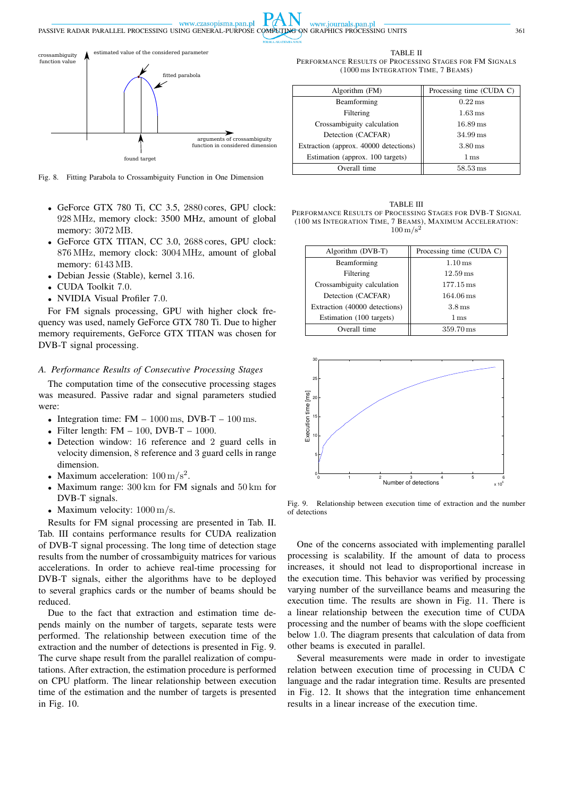www.czasopisma.pan.pl PASSIVE RADAR PARALLEL PROCESSING USING GENERAL-PURPOSE COMPUTING ON GRAPHICS PROCESSING UNITS 361

arguments of crossambiguity<br>function in considered dimension tion in considered dimension crossambiguity function value found target estimated value of the considered paramete fitted parabola

Fig. 8. Fitting Parabola to Crossambiguity Function in One Dimension

- GeForce GTX 780 Ti, CC 3.5, 2880 cores, GPU clock: 928 MHz, memory clock: 3500 MHz, amount of global memory: 3072 MB.
- GeForce GTX TITAN, CC 3.0, 2688 cores, GPU clock: 876 MHz, memory clock: 3004 MHz, amount of global memory: 6143 MB.
- Debian Jessie (Stable), kernel 3.16.
- CUDA Toolkit 7.0.
- NVIDIA Visual Profiler 7.0.

For FM signals processing, GPU with higher clock frequency was used, namely GeForce GTX 780 Ti. Due to higher memory requirements, GeForce GTX TITAN was chosen for DVB-T signal processing.

# *A. Performance Results of Consecutive Processing Stages*

The computation time of the consecutive processing stages was measured. Passive radar and signal parameters studied were:

- Integration time:  $FM 1000 \text{ ms}$ ,  $DVB-T 100 \text{ ms}$ .
- Filter length:  $FM 100$ ,  $DVB-T 1000$ .
- Detection window: 16 reference and 2 guard cells in velocity dimension, 8 reference and 3 guard cells in range dimension.
- Maximum acceleration:  $100 \text{ m/s}^2$ .
- Maximum range: 300 km for FM signals and 50 km for DVB-T signals.
- Maximum velocity:  $1000 \text{ m/s}$ .

Results for FM signal processing are presented in Tab. II. Tab. III contains performance results for CUDA realization of DVB-T signal processing. The long time of detection stage results from the number of crossambiguity matrices for various accelerations. In order to achieve real-time processing for DVB-T signals, either the algorithms have to be deployed to several graphics cards or the number of beams should be reduced.

Due to the fact that extraction and estimation time depends mainly on the number of targets, separate tests were performed. The relationship between execution time of the extraction and the number of detections is presented in Fig. 9. The curve shape result from the parallel realization of computations. After extraction, the estimation procedure is performed on CPU platform. The linear relationship between execution time of the estimation and the number of targets is presented in Fig. 10.

TABLE II PERFORMANCE RESULTS OF PROCESSING STAGES FOR FM SIGNALS (1000 ms INTEGRATION TIME, 7 BEAMS)

www.journals.pan.pl

| Algorithm (FM)                        | Processing time (CUDA C) |
|---------------------------------------|--------------------------|
| Beamforming                           | $0.22 \,\mathrm{ms}$     |
| Filtering                             | $1.63 \,\mathrm{ms}$     |
| Crossambiguity calculation            | $16.89 \,\mathrm{ms}$    |
| Detection (CACFAR)                    | $34.99 \,\mathrm{ms}$    |
| Extraction (approx. 40000 detections) | $3.80 \,\mathrm{ms}$     |
| Estimation (approx. 100 targets)      | 1 <sub>ms</sub>          |
| Overall time                          | $58.53 \,\mathrm{ms}$    |

TABLE III PERFORMANCE RESULTS OF PROCESSING STAGES FOR DVB-T SIGNAL (100 MS INTEGRATION TIME, 7 BEAMS), MAXIMUM ACCELERATION:  $100 \,\mathrm{m/s^2}$ 

| Algorithm (DVB-T)             | Processing time (CUDA C) |
|-------------------------------|--------------------------|
| Beamforming                   | $1.10 \,\mathrm{ms}$     |
| Filtering                     | $12.59 \,\mathrm{ms}$    |
| Crossambiguity calculation    | $177.15 \,\mathrm{ms}$   |
| Detection (CACFAR)            | $164.06 \,\mathrm{ms}$   |
| Extraction (40000 detections) | 3.8 <sub>ms</sub>        |
| Estimation (100 targets)      | 1 ms                     |
| Overall time                  | 359.70 ms                |



Fig. 9. Relationship between execution time of extraction and the number of detections

One of the concerns associated with implementing parallel processing is scalability. If the amount of data to process increases, it should not lead to disproportional increase in the execution time. This behavior was verified by processing varying number of the surveillance beams and measuring the execution time. The results are shown in Fig. 11. There is a linear relationship between the execution time of CUDA processing and the number of beams with the slope coefficient below 1.0. The diagram presents that calculation of data from other beams is executed in parallel.

Several measurements were made in order to investigate relation between execution time of processing in CUDA C language and the radar integration time. Results are presented in Fig. 12. It shows that the integration time enhancement results in a linear increase of the execution time.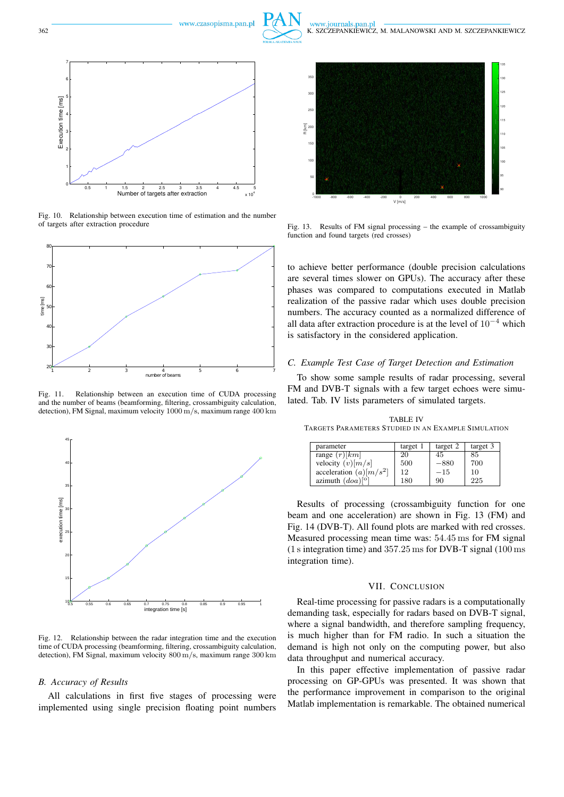www.czasopisma.pan.pl



 $^{\circ}$ 

www.journals.pan.pl



Fig. 10. Relationship between execution time of estimation and the number of targets after extraction procedure



Fig. 11. Relationship between an execution time of CUDA processing and the number of beams (beamforming, filtering, crossambiguity calculation, detection), FM Signal, maximum velocity 1000 m/s, maximum range 400 km



Fig. 12. Relationship between the radar integration time and the execution time of CUDA processing (beamforming, filtering, crossambiguity calculation, detection), FM Signal, maximum velocity 800 m/s, maximum range 300 km

## *B. Accuracy of Results*

All calculations in first five stages of processing were implemented using single precision floating point numbers



Fig. 13. Results of FM signal processing – the example of crossambiguity function and found targets (red crosses)

90

V [m/s] -1000 -800 -600 -400 -200 0 200 400 600 800 1000

to achieve better performance (double precision calculations are several times slower on GPUs). The accuracy after these phases was compared to computations executed in Matlab realization of the passive radar which uses double precision numbers. The accuracy counted as a normalized difference of all data after extraction procedure is at the level of  $10^{-4}$  which is satisfactory in the considered application.

#### *C. Example Test Case of Target Detection and Estimation*

To show some sample results of radar processing, several FM and DVB-T signals with a few target echoes were simulated. Tab. IV lists parameters of simulated targets.

TABLE IV TARGETS PARAMETERS STUDIED IN AN EXAMPLE SIMULATION

| parameter                 | target 1 | target 2 | target 3 |
|---------------------------|----------|----------|----------|
| range $(r)[km]$           | 20       | 45       | 85       |
| velocity $(v)[m/s]$       | 500      | $-880$   | 700      |
| acceleration $(a)[m/s^2]$ | 12       | $-15$    | 10       |
| azimuth $(doa)^{[\circ]}$ | 180      | 90       | 225      |

Results of processing (crossambiguity function for one beam and one acceleration) are shown in Fig. 13 (FM) and Fig. 14 (DVB-T). All found plots are marked with red crosses. Measured processing mean time was: 54.45 ms for FM signal (1 s integration time) and 357.25 ms for DVB-T signal (100 ms integration time).

## VII. CONCLUSION

Real-time processing for passive radars is a computationally demanding task, especially for radars based on DVB-T signal, where a signal bandwidth, and therefore sampling frequency, is much higher than for FM radio. In such a situation the demand is high not only on the computing power, but also data throughput and numerical accuracy.

In this paper effective implementation of passive radar processing on GP-GPUs was presented. It was shown that the performance improvement in comparison to the original Matlab implementation is remarkable. The obtained numerical